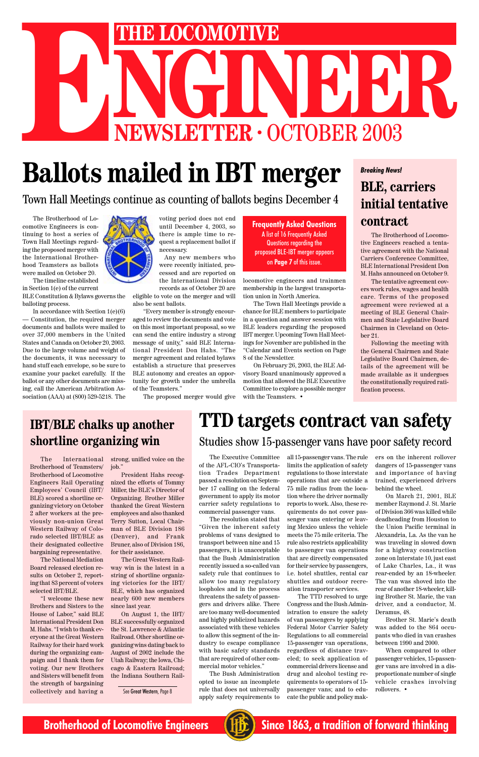# NGINEER OCTOBER 2003 **ENEXTRE LOCOMOTIVE<br>
NEWSLETTER · OCTOBER 2003**<br> **Ballots mailed in IRT merger**

# **Ballots mailed in IBT merger BLE, carriers**

The Executive Committee of the AFL-CIO's Transportation Trades Department passed a resolution on September 17 calling on the federal government to apply its motor carrier safety regulations to commercial passenger vans.

The resolution stated that "Given the inherent safety problems of vans designed to transport between nine and 15 passengers, it is unacceptable that the Bush Administration recently issued a so-called van safety rule that continues to allow too many regulatory loopholes and in the process threatens the safety of passengers and drivers alike. There are too many well-documented and highly publicized hazards associated with these vehicles to allow this segment of the industry to escape compliance with basic safety standards that are required of other commercial motor vehicles."

The Bush Administration opted to issue an incomplete rule that does not universally apply safety requirements to

The Brotherhood of Locomotive Engineers reached a tentative agreement with the National Carriers Conference Committee, BLE International President Don M. Hahs announced on October 9.

The tentative agreement covers work rules, wages and health care. Terms of the proposed agreement were reviewed at a meeting of BLE General Chairmen and State Legislative Board Chairmen in Cleveland on October 21.

Following the meeting with the General Chairmen and State Legislative Board Chairmen, details of the agreement will be made available as it undergoes the constitutionally required ratification process.

# **initial tentative contract**

all 15-passenger vans. The rule limits the application of safety regulations to those interstate operations that are outside a 75 mile radius from the location where the driver normally reports to work. Also, these requirements do not cover passenger vans entering or leaving Mexico unless the vehicle meets the 75 mile criteria. The rule also restricts applicability to passenger van operations

that are directly compensated for their service by passengers, i.e. hotel shuttles, rental car shuttles and outdoor recreation transporter services.

The TTD resolved to urge Congress and the Bush Administration to ensure the safety of van passengers by applying Federal Motor Carrier Safety Regulations to all commercial 15-passenger van operations, regardless of distance traveled; to seek application of commercial drivers license and drug and alcohol testing requirements to operators of 15 passenger vans; and to educate the public and policy mak-

## **IBT/BLE chalks up another shortline organizing win** Studies show 15-passenger vans have poor safety record

ers on the inherent rollover dangers of 15-passenger vans and importance of having trained, experienced drivers behind the wheel.

On March 21, 2001, BLE member Raymond J. St. Marie of Division 366 was killed while deadheading from Houston to the Union Pacific terminal in Alexandria, La. As the van he was traveling in slowed down for a highway construction zone on Interstate 10, just east of Lake Charles, La., it was rear-ended by an 18-wheeler. The van was shoved into the rear of another 18-wheeler, killing Brother St. Marie, the van driver, and a conductor, M. Deramus, 48.

Brother St. Marie's death was added to the 864 occupants who died in van crashes between 1990 and 2000.

When compared to other passenger vehicles, 15-passenger vans are involved in a disproportionate number of single vehicle crashes involving rollovers. •



**Brotherhood of Locomotive Engineers (HE)** Since 1863, a tradition of forward thinking

# **TTD targets contract van safety**

The International Brotherhood of Teamsters/ Brotherhood of Locomotive Engineers Rail Operating Employees' Council (IBT/ BLE) scored a shortline organizing victory on October 2 after workers at the previously non-union Great Western Railway of Colorado selected IBT/BLE as their designated collective bargaining representative.

The National Mediation Board released election results on October 2, reporting that 83 percent of voters selected IBT/BLE.

"I welcome these new Brothers and Sisters to the House of Labor," said BLE International President Don M. Hahs. "I wish to thank everyone at the Great Western Railway for their hard work during the organizing campaign and I thank them for voting. Our new Brothers and Sisters will benefit from the strength of bargaining collectively and having a

strong, unified voice on the job."

President Hahs recognized the efforts of Tommy Miller, the BLE's Director of Organizing. Brother Miller thanked the Great Western employees and also thanked Terry Sutton, Local Chairman of BLE Division 186 (Denver), and Frank Bruner, also of Division 186, for their assistance. The Great Western Railway win is the latest in a string of shortline organizing victories for the IBT/ BLE, which has organized nearly 600 new members since last year.

On August 1, the IBT/ BLE successfully organized the St. Lawrence & Atlantic Railroad. Other shortline organizing wins dating back to August of 2002 include the Utah Railway; the Iowa, Chicago & Eastern Railroad; the Indiana Southern Rail-

See Great Western, Page 8

#### *Breaking News!*

The Brotherhood of Locomotive Engineers is continuing to host a series of Town Hall Meetings regarding the proposed merger with the International Brotherhood Teamsters as ballots were mailed on October 20.

The timeline established in Section 1(e) of the current BLE Constitution & Bylaws governs the balloting process.

In accordance with Section 1(e)(6) Constitution, the required merger documents and ballots were mailed to over 37,000 members in the United States and Canada on October 20, 2003. Due to the large volume and weight of the documents, it was necessary to hand stuff each envelope, so be sure to examine your packet carefully. If the ballot or any other documents are missing, call the American Arbitration Association (AAA) at (800) 529-5218. The



voting period does not end until December 4, 2003, so there is ample time to request a replacement ballot if necessary.

Any new members who were recently initiated, processed and are reported on the International Division records as of October 20 are eligible to vote on the merger and will

also be sent ballots. "Every member is strongly encour-

aged to review the documents and vote on this most important proposal, so we can send the entire industry a strong message of unity," said BLE International President Don Hahs. "The merger agreement and related bylaws establish a structure that preserves BLE autonomy and creates an opportunity for growth under the umbrella of the Teamsters."

The proposed merger would give

Town Hall Meetings continue as counting of ballots begins December 4

locomotive engineers and trainmen membership in the largest transportation union in North America.

The Town Hall Meetings provide a chance for BLE members to participate in a question and answer session with BLE leaders regarding the proposed IBT merger. Upcoming Town Hall Meetings for November are published in the "Calendar and Events section on Page 8 of the Newsletter.

On February 26, 2003, the BLE Advisory Board unanimously approved a motion that allowed the BLE Executive Committee to explore a possible merger with the Teamsters. •

**Frequently Asked Questions** A list of 16 Frequently Asked Questions regarding the proposed BLE-IBT merger appears on **Page 7** of this issue.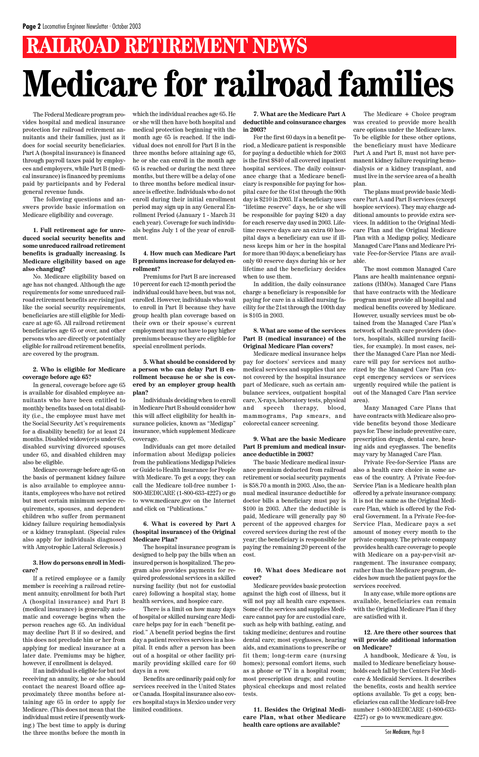The Federal Medicare program provides hospital and medical insurance protection for railroad retirement annuitants and their families, just as it does for social security beneficiaries. Part A (hospital insurance) is financed through payroll taxes paid by employees and employers, while Part B (medical insurance) is financed by premiums paid by participants and by Federal general revenue funds.

The following questions and answers provide basic information on Medicare eligibility and coverage.

**1. Full retirement age for unreduced social security benefits and some unreduced railroad retirement benefits is gradually increasing. Is Medicare eligibility based on age also changing?**

No. Medicare eligibility based on age has not changed. Although the age requirements for some unreduced railroad retirement benefits are rising just like the social security requirements, beneficiaries are still eligible for Medicare at age 65. All railroad retirement beneficiaries age 65 or over, and other persons who are directly or potentially eligible for railroad retirement benefits, are covered by the program.

#### **2. Who is eligible for Medicare coverage before age 65?**

In general, coverage before age 65 is available for disabled employee annuitants who have been entitled to monthly benefits based on total disability (i.e., the employee must have met the Social Security Act's requirements for a disability benefit) for at least 24 months. Disabled widow(er)s under 65, disabled surviving divorced spouses under 65, and disabled children may also be eligible.

Medicare coverage before age 65 on the basis of permanent kidney failure is also available to employee annuitants, employees who have not retired but meet certain minimum service requirements, spouses, and dependent children who suffer from permanent kidney failure requiring hemodialysis or a kidney transplant. (Special rules also apply for individuals diagnosed with Amyotrophic Lateral Sclerosis.)

**3. How do persons enroll in Medicare?**

If a retired employee or a family member is receiving a railroad retirement annuity, enrollment for both Part A (hospital insurance) and Part B (medical insurance) is generally automatic and coverage begins when the person reaches age 65. An individual may decline Part B if so desired, and this does not preclude him or her from applying for medical insurance at a later date. Premiums may be higher, however, if enrollment is delayed.

If an individual is eligible for but not receiving an annuity, he or she should contact the nearest Board office approximately three months before attaining age 65 in order to apply for Medicare. (This does not mean that the individual must retire if presently working.) The best time to apply is during the three months before the month in

which the individual reaches age 65. He or she will then have both hospital and medical protection beginning with the month age 65 is reached. If the individual does not enroll for Part B in the three months before attaining age 65, he or she can enroll in the month age 65 is reached or during the next three months, but there will be a delay of one to three months before medical insurance is effective. Individuals who do not enroll during their initial enrollment period may sign up in any General Enrollment Period (January 1 - March 31 each year). Coverage for such individuals begins July 1 of the year of enrollment.

#### **4. How much can Medicare Part B premiums increase for delayed enrollment?**

Premiums for Part B are increased 10 percent for each 12-month period the individual could have been, but was not, enrolled. However, individuals who wait to enroll in Part B because they have group health plan coverage based on their own or their spouse's current employment may not have to pay higher premiums because they are eligible for special enrollment periods.

**5. What should be considered by a person who can delay Part B enrollment because he or she is covered by an employer group health plan?**

Individuals deciding when to enroll in Medicare Part B should consider how this will affect eligibility for health insurance policies, known as "Medigap" insurance, which supplement Medicare coverage.

Individuals can get more detailed information about Medigap policies from the publications Medigap Policies or Guide to Health Insurance for People with Medicare. To get a copy, they can call the Medicare toll-free number 1- 800-MEDICARE (1-800-633-4227) or go to www.medicare.gov on the Internet and click on "Publications."

#### **6. What is covered by Part A (hospital insurance) of the Original Medicare Plan?**

The hospital insurance program is signed to help pay the bills when an insured person is hospitalized. The program also provides payments for required professional services in a skilled nursing facility (but not for custodial care) following a hospital stay, home health services, and hospice care.

There is a limit on how many days of hospital or skilled nursing care Medicare helps pay for in each "benefit period." A benefit period begins the first day a patient receives services in a hospital. It ends after a person has been out of a hospital or other facility primarily providing skilled care for 60 days in a row.

Benefits are ordinarily paid only for services received in the United States or Canada. Hospital insurance also covers hospital stays in Mexico under very limited conditions.

# **RAILROAD RETIREMENT NEWS Medicare for railroad families**

**7. What are the Medicare Part A deductible and coinsurance charges in 2003?**

For the first 60 days in a benefit period, a Medicare patient is responsible for paying a deductible which for 2003 is the first \$840 of all covered inpatient hospital services. The daily coinsurance charge that a Medicare beneficiary is responsible for paying for hospital care for the 61st through the 90th day is \$210 in 2003. If a beneficiary uses "lifetime reserve" days, he or she will be responsible for paying \$420 a day for each reserve day used in 2003. Lifetime reserve days are an extra 60 hospital days a beneficiary can use if illness keeps him or her in the hospital for more than 90 days; a beneficiary has only 60 reserve days during his or her lifetime and the beneficiary decides when to use them.

In addition, the daily coinsurance charge a beneficiary is responsible for paying for care in a skilled nursing facility for the 21st through the 100th day is \$105 in 2003.

#### **8. What are some of the services Part B (medical insurance) of the Original Medicare Plan covers?**

Medicare medical insurance helps pay for doctors' services and many medical services and supplies that are not covered by the hospital insurance part of Medicare, such as certain ambulance services, outpatient hospital care, X-rays, laboratory tests, physical and speech therapy, blood, mammograms, Pap smears, and colorectal cancer screening.

#### **9. What are the basic Medicare Part B premium and medical insurance deductible in 2003?**

The basic Medicare medical insurance premium deducted from railroad retirement or social security payments is \$58.70 a month in 2003. Also, the annual medical insurance deductible for doctor bills a beneficiary must pay is \$100 in 2003. After the deductible is paid, Medicare will generally pay 80 percent of the approved charges for covered services during the rest of the year; the beneficiary is responsible for paying the remaining 20 percent of the cost.

**10. What does Medicare not cover?**

Medicare provides basic protection against the high cost of illness, but it will not pay all health care expenses. Some of the services and supplies Medicare cannot pay for are custodial care, such as help with bathing, eating, and taking medicine; dentures and routine dental care; most eyeglasses, hearing aids, and examinations to prescribe or fit them; long-term care (nursing homes); personal comfort items, such as a phone or TV in a hospital room; most prescription drugs; and routine physical checkups and most related tests.

**11. Besides the Original Medicare Plan, what other Medicare health care options are available?**

The Medicare + Choice program was created to provide more health care options under the Medicare laws. To be eligible for these other options, the beneficiary must have Medicare Part A and Part B, must not have permanent kidney failure requiring hemodialysis or a kidney transplant, and must live in the service area of a health plan.

The plans must provide basic Medicare Part A and Part B services (except hospice services). They may charge additional amounts to provide extra services. In addition to the Original Medicare Plan and the Original Medicare Plan with a Medigap policy, Medicare Managed Care Plans and Medicare Private Fee-for-Service Plans are available.

The most common Managed Care Plans are health maintenance organizations (HMOs). Managed Care Plans that have contracts with the Medicare program must provide all hospital and medical benefits covered by Medicare. However, usually services must be obtained from the Managed Care Plan's network of health care providers (doctors, hospitals, skilled nursing facilities, for example). In most cases, neither the Managed Care Plan nor Medicare will pay for services not authorized by the Managed Care Plan (except emergency services or services urgently required while the patient is out of the Managed Care Plan service area).

Many Managed Care Plans that have contracts with Medicare also provide benefits beyond those Medicare pays for. These include preventive care, prescription drugs, dental care, hearing aids and eyeglasses. The benefits may vary by Managed Care Plan.

Private Fee-for-Service Plans are also a health care choice in some areas of the country. A Private Fee-for-Service Plan is a Medicare health plan offered by a private insurance company. It is not the same as the Original Medicare Plan, which is offered by the Federal Government. In a Private Fee-for-Service Plan, Medicare pays a set amount of money every month to the private company. The private company provides health care coverage to people with Medicare on a pay-per-visit arrangement. The insurance company, rather than the Medicare program, decides how much the patient pays for the services received.

In any case, while more options are available, beneficiaries can remain with the Original Medicare Plan if they are satisfied with it.

#### **12. Are there other sources that will provide additional information on Medicare?**

A handbook, Medicare & You, is mailed to Medicare beneficiary households each fall by the Centers For Medicare & Medicaid Services. It describes the benefits, costs and health service options available. To get a copy, beneficiaries can call the Medicare toll-free number 1-800-MEDICARE (1-800-633- 4227) or go to www.medicare.gov.

See Medicare, Page 8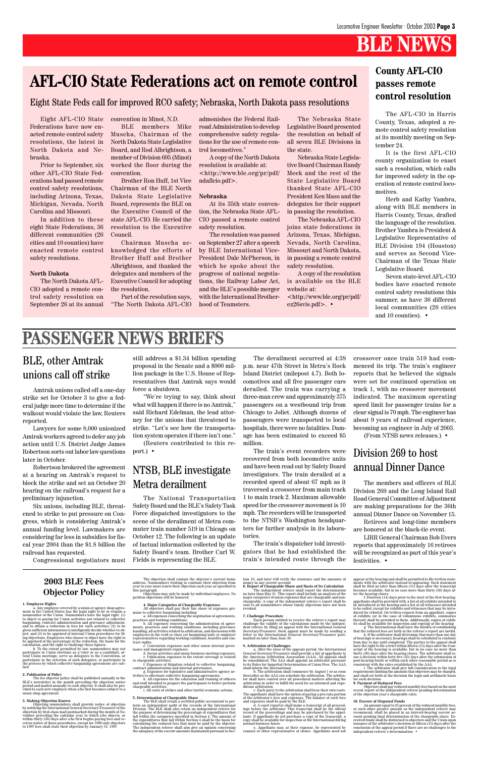#### **2003 BLE Fees Objector Policy**

1. Employee Rights<br>
on a Any employee covered by a union or agency shop agreement in the United States has the legal right to be or remain a<br>
nonmember of the Union. Nonmembers have the legal right (1)<br>
to object to payin

given sufficient information to intelligently decide whether to ob-<br>ject; and (3) to be apprised of internal Union procedures for fill-<br>ing objections. Employees who choose to object have the right to<br>be apprised of the p

The fee objector policy shall be published annually in the BLE's newsletter in the month preceding the objection noticeperiod and mailed annually to each objection and prepriod and mailed annually to each objector. It shal union shop agreement.

**3. Making Objection Known**<br>Objecting nonmembers shall provide notice of objection<br>by notifying the International General Secretary-Treasurer of the objection by first-class mail postmarked during the month of No-<br>vember preceding the calendar year to which s/he objects, or<br>within thirty (30) days after s/he first begins paying fees and re-<br>evives notice of these proce The objection shall contain the objector's current home<br>address. Nonmembers wishing to continue their objection from<br>year to year must renew their objection each year as specified in<br>this paragraph.<br>Objections may only be

#### **2. Publication of Policy**

4. Major Categories of Charge<br>able Expenses  $\sim$  All objectors shall pay their fair share of expenses germane to collective bargaining including.<br>a. All expenses concerning the negotiation of agreements, a. All expenses c tract rights;

c. Convention expenses and other union internal gover-

nance and management expenses;<br>
d. Social activities and union business meeting expenses;<br>
d. Publication expenses to the extent coverage is related<br>
to chargeable activities;<br>
to related to collective bargaining,<br>
contra

chargeable activities; i. All costs of strikes and other lawful economic actions.

5. Determination of Chargeable Share<br>
The BLE shall retain a certified public accountant to perform an independent audit of the records of the International Division. The BLE shall also retain an independent referee for t

tion 10, and later will verify the existence and the amounts of

money in any escrow account. **6. Report of Chargeable Share and Basis of Its Calculation**

The independent referee shall report the determination<br>no later than May 31. This report shall include an analysis of the<br>major categories of union expenses that are chargeable and non-<br>chargeable. A copy of the independen

7. Challenge Procedure<br>
Each person entitled to receive the referee's report may<br>
challenge the validity of the calculations made by the indepen-<br>
dent referee by filing an appeal with the International General<br>
Secretary-

8. Arbitration of Challenges<br>
na Affer the close of the appeals period, the International General Secretary-Treasurer shall provide a list of appellants to the American Arbitration Association (AAA). All appeals shall abo

appear at the hearing and shall be permitted to file written state-<br>ments with the arbitrator instead of appearing. Such statement<br>shall be filed no later than fifteen (15) days after the transcript<br>becomes available, but

10. Escrow of Disputed Funds<br>An amount equal to 25 percent of the reduced monthly fees,<br>or such other greater amount as the independent referee may<br>recommend, shall be placed in an interest-bearing escrow ac-<br>count pendin independent referee's determination. •

**9. Payment of Reduced Fees** Objectors shall pay reduced monthly fees based on the most recent report of the independent referee pending determination of the objection year's chargeable ratio.

Eight AFL-CIO State Federations have now enacted remote control safety resolutions, the latest in North Dakota and Nebraska.

Prior to September, six other AFL-CIO State Federations had passed remote control safety resolutions, including Arizona, Texas, Michigan, Nevada, North Carolina and Missouri.

In addition to these eight State Federations, 36 different communities (26 cities and 10 counties) have enacted remote control safety resolutions.

#### **North Dakota**

The North Dakota AFL-CIO adopted a remote control safety resolution on September 26 at its annual convention in Minot, N.D.

BLE members Mike Muscha, Chairman of the North Dakota State Legislative Board, and Rod Albrightson, a member of Division 695 (Minot) worked the floor during the convention.

Brother Ron Huff, 1st Vice Chairman of the BLE North Dakota State Legislative Board, represents the BLE on the Executive Council of the state AFL-CIO. He carried the resolution to the Executive Council.

Chairman Muscha acknowledged the efforts of Brother Huff and Brother Albrightson, and thanked the delegates and members of the Executive Council for adopting the resolution.

Part of the resolution says, "The North Dakota AFL-CIO

The AFL-CIO in Harris County, Texas, adopted a remote control safety resolution at its monthly meeting on September 24.

It is the first AFL-CIO county organization to enact such a resolution, which calls for improved safety in the operation of remote control locomotives.

Herb and Kathy Yambra, along with BLE members in Harris County, Texas, drafted the language of the resolution. Brother Yambra is President & Legislative Representative of BLE Division 194 (Houston) and serves as Second Vice-Chairman of the Texas State Legislative Board.

Seven state-level AFL-CIO bodies have enacted remote control safety resolutions this summer, as have 36 different local communities (26 cities and 10 counties). •

admonishes the Federal Railroad Administration to develop comprehensive safety regulations for the use of remote control locomotives."

A copy of the North Dakota resolution is available at: <http://www.ble.org/pr/pdf/ ndaflcio.pdf>.

#### **Nebraska**

At its 35th state convention, the Nebraska State AFL-CIO passed a remote control safety resolution.

The resolution was passed on September 27 after a speech by BLE International Vice-President Dale McPherson, in which he spoke about the progress of national negotiations, the Railway Labor Act, and the BLE's possible merger with the International Brotherhood of Teamsters.

The Nebraska State Legislative Board presented the resolution on behalf of all seven BLE Divisions in the state.

Nebraska State Legislative Board Chairman Randy Meek and the rest of the State Legislative Board thanked State AFL-CIO President Ken Mass and the delegates for their support in passing the resolution.

The Nebraska AFL-CIO joins state federations in Arizona, Texas, Michigan, Nevada, North Carolina, Missouri and North Dakota, in passing a remote control safety resolution.

A copy of the resolution is available on the BLE website at: <http://www.ble.org/pr/pdf/ ez26svis.pdf>. •

# **AFL-CIO State Federations act on remote control**

#### Eight State Feds call for improved RCO safety; Nebraska, North Dakota pass resolutions

#### **County AFL-CIO passes remote control resolution**

# **PASSENGER NEWS BRIEFS**

#### BLE, other Amtrak unions call off strike

Amtrak unions called off a one-day strike set for October 3 to give a federal judge more time to determine if the walkout would violate the law, Reuters reported.

Lawyers for some 8,000 unionized Amtrak workers agreed to defer any job action until U.S. District Judge James Robertson sorts out labor law questions later in October.

Robertson brokered the agreement at a hearing on Amtrak's request to block the strike and set an October 20 hearing on the railroad's request for a preliminary injunction.

Six unions, including BLE, threatened to strike to put pressure on Congress, which is considering Amtrak's annual funding level. Lawmakers are considering far less in subsidies for fiscal year 2004 than the \$1.8 billion the railroad has requested.

still address a \$1.34 billion spending proposal in the Senate and a \$900 million package in the U.S. House of Representatives that Amtrak says would force a shutdown.

"We're trying to say, think about what will happen if there is no Amtrak," said Richard Edelman, the lead attorney for the unions that threatened to strike. "Let's see how the transportation system operates if there isn't one."

(Reuters contributed to this report.) •

#### NTSB, BLE investigate Metra derailment

The National Transportation Safety Board and the BLE's Safety Task Force dispatched investigators to the scene of the derailment of Metra commuter train number 519 in Chicago on October 12. The following is an update of factual information collected by the Safety Board's team. Brother Carl W.

The derailment occurred at 4:38 p.m. near 47th Street in Metra's Rock Island District (milepost 4.7). Both locomotives and all five passenger cars derailed. The train was carrying a three-man crew and approximately 375 passengers on a westbound trip from Chicago to Joliet. Although dozens of passengers were transported to local hospitals, there were no fatalities. Damage has been estimated to exceed \$5 million.

The train's event recorders were recovered from both locomotive units and have been read out by Safety Board investigators. The train derailed at a recorded speed of about 67 mph as it traversed a crossover from main track 1 to main track 2. Maximum allowable speed for the crossover movement is 10 mph. The recorders will be transported to the NTSB's Washington headquarters for further analysis in its laboratories.

The train's dispatcher told investigators that he had established the crossover once train 519 had commenced its trip. The train's engineer reports that he believed the signals were set for continued operation on track 1, with no crossover movement indicated. The maximum operating speed limit for passenger trains for a clear signal is 70 mph. The engineer has about 9 years of railroad experience, becoming an engineer in July of 2003.

(From NTSB news releases.) •

train's intended route through the festivities. •

#### Division 269 to host annual Dinner Dance

The members and officers of BLE Division 269 and the Long Island Rail Road General Committee of Adjustment are making preparations for the 36th annual Dinner Dance on November 15.

Retirees and long-time members are honored at the black-tie event.

LIRR General Chairman Bob Evers reports that approximately 16 retirees will be recognized as part of this year's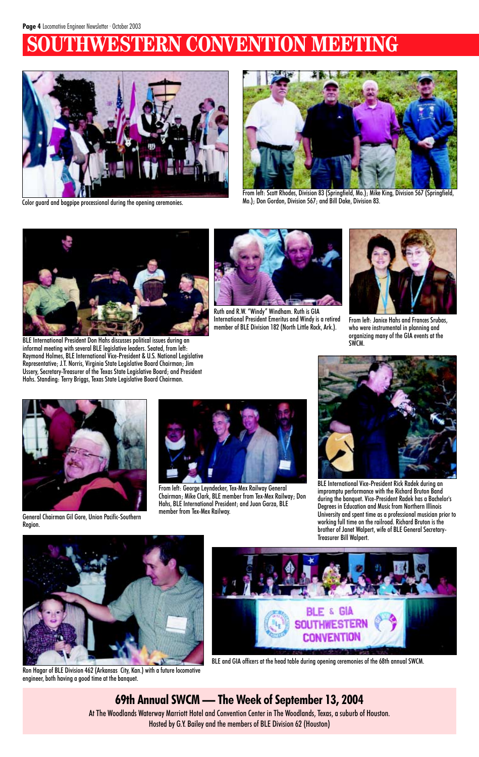# **WESTERN CONVENTION MEETING**



BLE and GIA officers at the head table during opening ceremonies of the 68th annual SWCM.



From left: Scott Rhodes, Division 83 (Springfield, Mo.); Mike King, Division 567 (Springfield, Mo.); Don Gordon, Division 567; and Bill Dake, Division 83.



BLE International President Don Hahs discusses political issues during an informal meeting with several BLE legislative leaders. Seated, from left: Raymond Holmes, BLE International Vice-President & U.S. National Legislative Representative; J.T. Norris, Virginia State Legislative Board Chairman; Jim Ussery, Secretary-Treasurer of the Texas State Legislative Board; and President Hahs. Standing: Terry Briggs, Texas State Legislative Board Chairman.



General Chairman Gil Gore, Union Pacific-Southern Region.



Ruth and R.W. "Windy" Windham. Ruth is GIA International President Emeritus and Windy is a retired member of BLE Division 182 (North Little Rock, Ark.).



From left: George Leyndecker, Tex-Mex Railway General Chairman; Mike Clark, BLE member from Tex-Mex Railway; Don Hahs, BLE International President; and Juan Garza, BLE member from Tex-Mex Railway.



From left: Janice Hahs and Frances Srubas, who were instrumental in planning and organizing many of the GIA events at the SWCM.



BLE International Vice-President Rick Radek during an impromptu performance with the Richard Bruton Band during the banquet. Vice-President Radek has a Bachelor's Degrees in Education and Music from Northern Illinois University and spent time as a professional musician prior to working full time on the railroad. Richard Bruton is the brother of Janet Walpert, wife of BLE General Secretary-Treasurer Bill Walpert.





Color guard and bagpipe processional during the opening ceremonies.

Ron Hagar of BLE Division 462 (Arkansas City, Kan.) with a future locomotive engineer, both having a good time at the banquet.

### **69th Annual SWCM — The Week of September 13, 2004**

At The Woodlands Waterway Marriott Hotel and Convention Center in The Woodlands, Texas, a suburb of Houston. Hosted by G.Y. Bailey and the members of BLE Division 62 (Houston)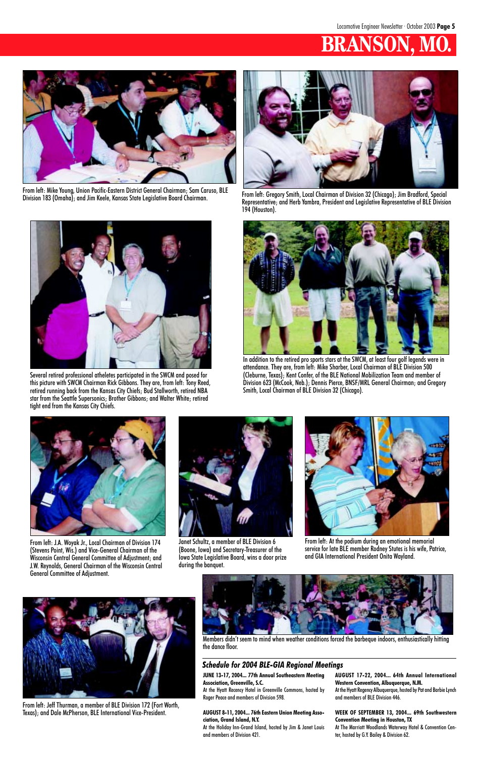# **BRANSON, MO.**



From left: Gregory Smith, Local Chairman of Division 32 (Chicago); Jim Bradford, Special Representative; and Herb Yambra, President and Legislative Representative of BLE Division 194 (Houston).



Several retired professional atheletes participated in the SWCM and posed for this picture with SWCM Chairman Rick Gibbons. They are, from left: Tony Reed, retired running back from the Kansas City Chiefs; Bud Stallworth, retired NBA star from the Seattle Supersonics; Brother Gibbons; and Walter White; retired tight end from the Kansas City Chiefs.



In addition to the retired pro sports stars at the SWCM, at least four golf legends were in attendance. They are, from left: Mike Sharber, Local Chairman of BLE Division 500 (Cleburne, Texas); Kent Confer, of the BLE National Mobilization Team and member of Division 623 (McCook, Neb.); Dennis Pierce, BNSF/MRL General Chairman; and Gregory Smith, Local Chairman of BLE Division 32 (Chicago).



From left: Mike Young, Union Pacific-Eastern District General Chairman; Sam Caruso, BLE Division 183 (Omaha); and Jim Keele, Kansas State Legislative Board Chairman.



From left: J.A. Woyak Jr., Local Chairman of Division 174 (Stevens Point, Wis.) and Vice-General Chairman of the

Wisconsin Central General Committee of Adjustment; and J.W. Reynolds, General Chairman of the Wisconsin Central General Committee of Adjustment.

From left: Jeff Thurman, a member of BLE Division 172 (Fort Worth, Texas); and Dale McPherson, BLE International Vice-President.



From left: At the podium during an emotional memorial service for late BLE member Rodney Stutes is his wife, Patrice, and GIA International President Onita Wayland.



Janet Schultz, a member of BLE Division 6 (Boone, Iowa) and Secretary-Treasurer of the







Members didn't seem to mind when weather conditions forced the barbeque indoors, enthusiastically hitting the dance floor.

**JUNE 13-17, 2004... 77th Annual Southeastern Meeting Association, Greenville, S.C.**

At the Hyatt Recency Hotel in Greenville Commons, hosted by Roger Peace and members of Division 598.

#### **AUGUST 8-11, 2004... 76th Eastern Union Meeting Association, Grand Island, N.Y.**

At the Holiday Inn-Grand Island, hosted by Jim & Janet Louis and members of Division 421.

**AUGUST 17-22, 2004... 64th Annual International Western Convention, Albuquerque, N.M.** At the Hyatt Regency Albuquerque, hosted by Pat and Barbie Lynch and members of BLE Division 446.

#### **WEEK OF SEPTEMBER 13, 2004... 69th Southwestern Convention Meeting in Houston, TX**

At The Marriott Woodlands Waterway Hotel & Convention Center, hosted by G.Y. Bailey & Division 62.

#### *Schedule for 2004 BLE-GIA Regional Meetings*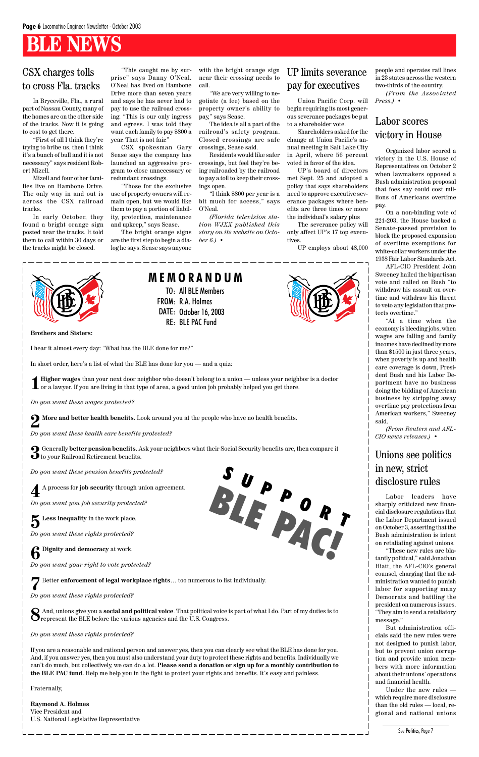#### CSX charges tolls to cross Fla. tracks

In Bryceville, Fla., a rural part of Nassau County, many of the homes are on the other side of the tracks. Now it is going to cost to get there.

"First of all I think they're trying to bribe us, then I think it's a bunch of bull and it is not necessary" says resident Robert Mizell.

Mizell and four other families live on Hambone Drive. The only way in and out is across the CSX railroad tracks.

In early October, they found a bright orange sign posted near the tracks. It told them to call within 30 days or the tracks might be closed.



"This caught me by surprise" says Danny O'Neal. O'Neal has lived on Hambone Drive more than seven years and says he has never had to pay to use the railroad crossing. "This is our only ingress and egress. I was told they want each family to pay \$800 a

year. That is not fair."

CSX spokesman Gary Sease says the company has launched an aggressive program to close unnecessary or

redundant crossings.

"Those for the exclusive use of property owners will remain open, but we would like them to pay a portion of liability, protection, maintenance and upkeep," says Sease.

The bright orange signs are the first step to begin a dialog he says. Sease says anyone

with the bright orange sign near their crossing needs to call.

"We are very willing to negotiate (a fee) based on the property owner's ability to pay," says Sease.

The idea is all a part of the railroad's safety program. Closed crossings are safe crossings, Sease said.

Residents would like safer crossings, but feel they're being railroaded by the railroad to pay a toll to keep their crossings open.

"I think \$800 per year is a bit much for access," says O'Neal.

*(Florida television station WJXX published this story on its website on October 6.)* •

Union Pacific Corp. will begin requiring its most generous severance packages be put to a shareholder vote.

Shareholders asked for the change at Union Pacific's annual meeting in Salt Lake City in April, where 56 percent voted in favor of the idea.

UP's board of directors met Sept. 25 and adopted a policy that says shareholders need to approve executive severance packages where benefits are three times or more the individual's salary plus

The severance policy will only affect UP's 17 top executives.

UP employs about 48,000



#### UP limits severance pay for executives

people and operates rail lines in 23 states across the western two-thirds of the country. *(From the Associated Press.)* •

**3** Generally **better pension benefits**. Ask your neighbors what their Social Security benefits are, then compare it **J** to your Railroad Retirement benefits.

Organized labor scored a victory in the U.S. House of Representatives on October 2 when lawmakers opposed a Bush administration proposal that foes say could cost millions of Americans overtime pay.

On a non-binding vote of 221-203, the House backed a Senate-passed provision to block the proposed expansion of overtime exemptions for white-collar workers under the 1938 Fair Labor Standards Act.

AFL-CIO President John Sweeney hailed the bipartisan vote and called on Bush "to withdraw his assault on overtime and withdraw his threat to veto any legislation that protects overtime."

"At a time when the economy is bleeding jobs, when wages are falling and family incomes have declined by more than \$1500 in just three years, when poverty is up and health care coverage is down, President Bush and his Labor Department have no business doing the bidding of American business by stripping away overtime pay protections from American workers," Sweeney said.

*(From Reuters and AFL-CIO news releases.)* •

#### Labor scores victory in House

Labor leaders have sharply criticized new financial disclosure regulations that the Labor Department issued on October 3, asserting that the Bush administration is intent on retaliating against unions. "These new rules are bla-

tantly political," said Jonathan Hiatt, the AFL-CIO's general counsel, charging that the administration wanted to punish labor for supporting many Democrats and battling the president on numerous issues. "They aim to send a retaliatory message."

But administration officials said the new rules were not designed to punish labor, but to prevent union corruption and provide union members with more information about their unions' operations and financial health.

Under the new rules which require more disclosure than the old rules — local, regional and national unions

#### Unions see politics in new, strict disclosure rules

See Politics, Page 7

**Brothers and Sisters:**

I hear it almost every day: "What has the BLE done for me?"

In short order, here's a list of what the BLE has done for you — and a quiz:

**1 Higher wages** than your next door neighbor who doesn't belong to a union — unless your neighbor is a doctor or a lawyer. If you are living in that type of area, a good union job probably helped you get there.

*Do you want these wages protected?*

**2 More and better health benefits**. Look around you at the people who have no health benefits.

*Do you want these health care benefits protected?*

*Do you want these pension benefits protected?*

**4** A process for **job security** through union agreement.

*Do you want you job security protected?*

 $\sum$  **Less inequality** in the work place.

*Do you want these rights protected?*

**6 Dignity and democracy** at work.

#### *Do you want your right to vote protected?*

**7** Better **enforcement of legal workplace rights**… too numerous to list individually.

*Do you want these rights protected?*

**8** And, unions give you a **social and political voice**. That political voice is part of what I do. Part of my duties is to represent the BLE before the various agencies and the U.S. Congress.

*Do you want these rights protected?*

If you are a reasonable and rational person and answer yes, then you can clearly see what the BLE has done for you. And, if you answer yes, then you must also understand your duty to protect these rights and benefits. Individually we can't do much, but collectively, we can do a lot. **Please send a donation or sign up for a monthly contribution to the BLE PAC fund.** Help me help you in the fight to protect your rights and benefits. It's easy and painless.

Fraternally,

**Raymond A. Holmes** Vice President and U.S. National Legislative Representative TO: All BLE Members

FROM: R.A. Holmes

DATE: October 16, 2003 RE: BLE PAC Fund

**M E M O R A N D U M**

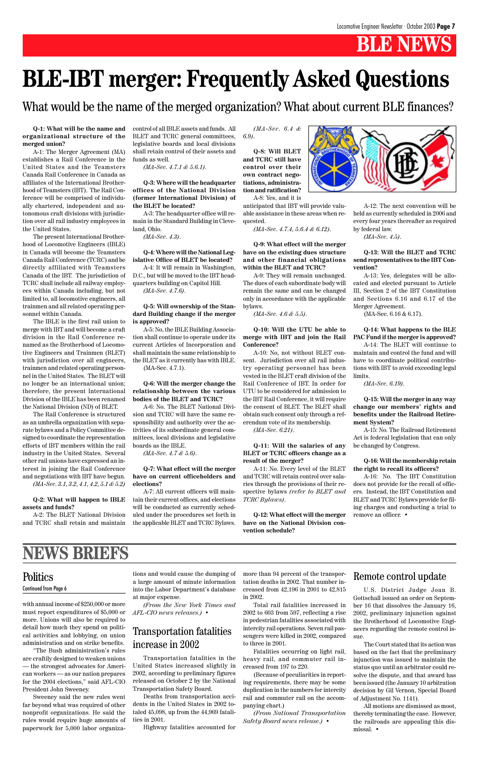with annual income of \$250,000 or more must report expenditures of \$5,000 or more. Unions will also be required to detail how much they spend on political activities and lobbying, on union administration and on strike benefits.

"The Bush administration's rules are craftily designed to weaken unions — the strongest advocates for American workers — as our nation prepares for the 2004 elections," said AFL-CIO President John Sweeney.

#### **Politics** Continued from Page 6

Sweeney said the new rules went far beyond what was required of other nonprofit organizations. He said the rules would require huge amounts of paperwork for 5,000 labor organizations and would cause the dumping of a large amount of minute information into the Labor Department's database at major expense.

*(From the New York Times and AFL-CIO news releases.)* •

## **NEWS BRIEFS**

Transportation fatalities in the United States increased slightly in 2002, according to preliminary figures released on October 2 by the National Transportation Safety Board.

Deaths from transportation accidents in the United States in 2002 totaled 45,098, up from the 44,969 fatalities in 2001.

Highway fatalities accounted for

#### Transportation fatalities increase in 2002

more than 94 percent of the transportation deaths in 2002. That number increased from 42,196 in 2001 to 42,815 in 2002.

Total rail fatalities increased in 2002 to 603 from 597, reflecting a rise in pedestrian fatalities associated with intercity rail operations. Seven rail passengers were killed in 2002, compared to three in 2001.

Fatalities occurring on light rail, heavy rail, and commuter rail increased from 197 to 220.

(Because of peculiarities in reporting requirements, there may be some duplication in the numbers for intercity rail and commuter rail on the accompanying chart.)

*(From National Transportation Safety Board news release.)* •

#### Remote control update

U.S. District Judge Joan B. Gottschall issued an order on September 16 that dissolves the January 16, 2002, preliminary injunction against the Brotherhood of Locomotive Engineers regarding the remote control issue.

The Court stated that its action was based on the fact that the preliminary injunction was issued to maintain the status quo until an arbitrator could resolve the dispute, and that award has been issued (the January 10 arbitration decision by Gil Vernon, Special Board of Adjustment No. 1141).

All motions are dismissed as moot, thereby terminating the case. However, the railroads are appealing this dismissal. •

**Q-1: What will be the name and organizational structure of the merged union?**

A-1: The Merger Agreement (MA) establishes a Rail Conference in the United States and the Teamsters Canada Rail Conference in Canada as affiliates of the International Brotherhood of Teamsters (IBT). The Rail Conference will be comprised of individually chartered, independent and autonomous craft divisions with jurisdiction over all rail industry employees in the United States.

The present International Brotherhood of Locomotive Engineers (IBLE) in Canada will become the Teamsters Canada Rail Conference (TCRC) and be directly affiliated with Teamsters Canada of the IBT. The jurisdiction of TCRC shall include all railway employees within Canada including, but not limited to, all locomotive engineers, all trainmen and all related operating personnel within Canada.

The IBLE is the first rail union to merge with IBT and will become a craft division in the Rail Conference renamed as the Brotherhood of Locomotive Engineers and Trainmen (BLET) with jurisdiction over all engineers, trainmen and related operating personnel in the United States. The BLET will no longer be an international union; therefore, the present International Division of the IBLE has been renamed the National Division (ND) of BLET.

The Rail Conference is structured as an umbrella organization with separate bylaws and a Policy Committee designed to coordinate the representation efforts of IBT members within the rail industry in the United States. Several other rail unions have expressed an interest in joining the Rail Conference and negotiations with IBT have begun.

*(MA-Sec. 3.1, 3.2, 4.1, 4.2, 5.1 & 5.2)*

#### **Q-2: What will happen to IBLE assets and funds?**

A-2: The BLET National Division and TCRC shall retain and maintain control of all IBLE assets and funds. All BLET and TCRC general committees, legislative boards and local divisions shall retain control of their assets and funds as well.

*(MA-Sec. 4.7.1 & 5.6.1)*.

**Q-3: Where will the headquarter offices of the National Division (former International Division) of the BLET be located?**

A-3: The headquarter office will remain in the Standard Building in Cleveland, Ohio.

*(MA-Sec. 4.3)*.

#### **Q-4: Where will the National Legislative Office of BLET be located?**

A-4: It will remain in Washington, D.C., but will be moved to the IBT headquarters building on Capitol Hill.

*(MA-Sec. 4.7.6)*.

#### **Q-5: Will ownership of the Standard Building change if the merger is approved?**

A-5: No, the IBLE Building Association shall continue to operate under its current Articles of Incorporation and shall maintain the same relationship to the BLET as it currently has with IBLE.

(MA-Sec. 4.7.1).

#### **Q-6: Will the merger change the relationship between the various bodies of the BLET and TCRC?**

A-6: No. The BLET National Division and TCRC will have the same responsibility and authority over the activities of its subordinate general committees, local divisions and legislative boards as the IBLE.

*(MA-Sec. 4.7 & 5.6)*.

#### **Q-7: What effect will the merger have on current officeholders and elections?**

A-7: All current officers will maintain their current offices, and elections will be conducted as currently scheduled under the procedures set forth in the applicable BLET and TCRC Bylaws.

*(MA-Sec. 6.4 & 6.9)*.

**Q-8: Will BLET and TCRC still have control over their own contract negotiations, administration and ratification?**

A-8: Yes, and it is anticipated that IBT will provide valuable assistance in these areas when requested.

*(MA-Sec. 4.7.4, 5.6.4 & 6.12)*.

**Q-9: What effect will the merger have on the existing dues structure and other financial obligations within the BLET and TCRC?**

A-9: They will remain unchanged. The dues of each subordinate body will remain the same and can be changed only in accordance with the applicable bylaws.

*(MA-Sec. 4.6 & 5.5)*.

#### **Q-10: Will the UTU be able to merge with IBT and join the Rail Conference?**

A-10: No, not without BLET consent. Jurisdiction over all rail industry operating personnel has been vested in the BLET craft division of the Rail Conference of IBT. In order for UTU to be considered for admission to the IBT Rail Conference, it will require the consent of BLET. The BLET shall obtain such consent only through a referendum vote of its membership.

*(MA-Sec. 6.21)*.

#### **Q-11: Will the salaries of any BLET or TCRC officers change as a result of the merger?**

A-11: No. Every level of the BLET and TCRC will retain control over salaries through the provisions of their respective bylaws *(refer to BLET and TCRC Bylaws)*.

**Q-12: What effect will the merger have on the National Division convention schedule?**



A-12: The next convention will be held as currently scheduled in 2006 and every four years thereafter as required by federal law.

*(MA-Sec. 4.5)*.

**Q-13: Will the BLET and TCRC send representatives to the IBT Convention?**

A-13: Yes, delegates will be allocated and elected pursuant to Article III, Section 2 of the IBT Constitution and Sections 6.16 and 6.17 of the Merger Agreement.

(MA-Sec. 6.16 & 6.17).

#### **Q-14: What happens to the BLE PAC Fund if the merger is approved?**

A-14: The BLET will continue to maintain and control the fund and will have to coordinate political contributions with IBT to avoid exceeding legal limits.

*(MA-Sec. 6.19)*.

**Q-15: Will the merger in any way change our members' rights and benefits under the Railroad Retirement System?**

A-15: No. The Railroad Retirement Act is federal legislation that can only be changed by Congress.

#### **Q-16: Will the membership retain the right to recall its officers?**

A-16: No. The IBT Constitution does not provide for the recall of officers. Instead, the IBT Constitution and BLET and TCRC Bylaws provide for filing charges and conducting a trial to remove an officer. •

# **BLE-IBT merger: Frequently Asked Questions**

What would be the name of the merged organization? What about current BLE finances?